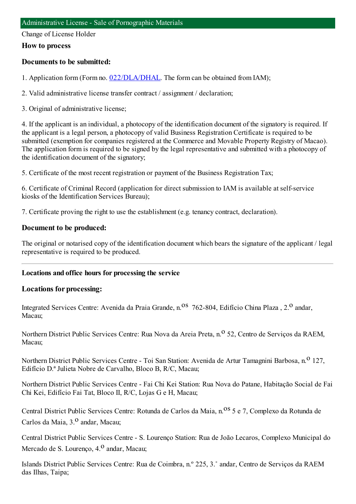Change of License Holder

#### **How to process**

### **Documents to be submitted:**

1. Application form (Form no. [022/DLA/DHAL](https://www.iam.gov.mo/c/pdf/eformDetail/PDF1013). The form can be obtained from IAM);

2. Valid administrative license transfer contract / assignment / declaration;

3. Original of administrative license;

4. If the applicant is an individual, a photocopy of the identification document of the signatory is required. If the applicant is a legal person, a photocopy of valid Business Registration Certificate is required to be submitted (exemption for companies registered at the Commerce and Movable Property Registry of Macao). The application form is required to be signed by the legal representative and submitted with a photocopy of the identification document of the signatory;

5. Certificate of the most recent registration or payment of the Business Registration Tax;

6. Certificate of Criminal Record (application for direct submission to IAM is available at self-service kiosks of the Identification Services Bureau);

7. Certificate proving the right to use the establishment (e.g. tenancy contract, declaration).

#### **Document to be produced:**

The original or notarised copy of the identification document which bears the signature of the applicant / legal representative is required to be produced.

### **Locations and office hours for processing the service**

### **Locations for processing:**

Integrated Services Centre: Avenida da Praia Grande, n.<sup>08</sup> 762-804, Edifício China Plaza , 2.<sup>0</sup> andar, Macau;

Northern District Public Services Centre: Rua Nova da Areia Preta, n.<sup>o</sup> 52, Centro de Serviços da RAEM, Macau;

Northern District Public Services Centre - Toi San Station: Avenida de Artur Tamagnini Barbosa, n.<sup>0</sup> 127, Edifício D.ª Julieta Nobre de Carvalho, Bloco B, R/C, Macau;

Northern District Public Services Centre - Fai Chi Kei Station: Rua Nova do Patane, Habitação Social de Fai Chi Kei, Edifício Fai Tat, Bloco II, R/C, Lojas G e H, Macau;

Central District Public Services Centre: Rotunda de Carlos da Maia, n.<sup>08</sup> 5 e 7, Complexo da Rotunda de Carlos da Maia, 3.<sup>0</sup> andar, Macau;

Central District Public Services Centre - S. Lourenço Station: Rua de João Lecaros, Complexo Municipal do Mercado de S. Lourenço, 4.<sup>0</sup> andar, Macau;

Islands District Public Services Centre: Rua de Coimbra, n.º 225, 3.˚ andar, Centro de Serviços da RAEM das Ilhas, Taipa;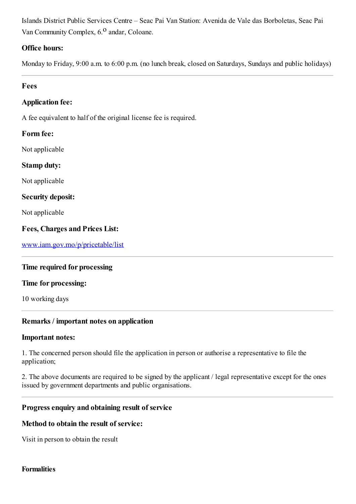Islands District Public Services Centre – Seac Pai Van Station: Avenida de Vale das Borboletas, Seac Pai Van Community Complex,  $6<sup>0</sup>$  andar, Coloane.

### **Office hours:**

Monday to Friday, 9:00 a.m. to 6:00 p.m. (no lunch break, closed on Saturdays, Sundays and public holidays)

## **Fees**

## **Application fee:**

A fee equivalent to half of the original license fee is required.

### **Form fee:**

Not applicable

**Stamp duty:**

Not applicable

**Security deposit:**

Not applicable

### **Fees, Charges and Prices List:**

[www.iam.gov.mo/p/pricetable/list](http://www.iam.gov.mo/p/pricetable/list)

### **Time required for processing**

#### **Time for processing:**

10 working days

### **Remarks / important notes on application**

#### **Important notes:**

1. The concerned person should file the application in person or authorise a representative to file the application;

2. The above documents are required to be signed by the applicant / legal representative except for the ones issued by government departments and public organisations.

### **Progressenquiry and obtaining result of service**

### **Method to obtain the result of service:**

Visit in person to obtain the result

### **Formalities**